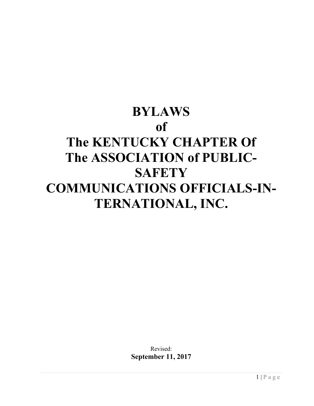# **BYLAWS of The KENTUCKY CHAPTER Of The ASSOCIATION of PUBLIC-SAFETY COMMUNICATIONS OFFICIALS-IN-TERNATIONAL, INC.**

Revised: **September 11, 2017**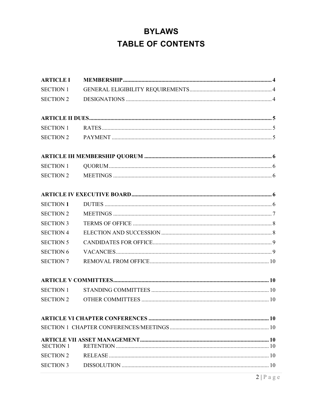# **BYLAWS TABLE OF CONTENTS**

| <b>ARTICLE I</b> |  |
|------------------|--|
| <b>SECTION 1</b> |  |
| <b>SECTION 2</b> |  |
|                  |  |
| <b>SECTION 1</b> |  |
|                  |  |
|                  |  |
| <b>SECTION 1</b> |  |
| <b>SECTION 2</b> |  |
|                  |  |
| <b>SECTION 1</b> |  |
| <b>SECTION 2</b> |  |
| <b>SECTION 3</b> |  |
| <b>SECTION 4</b> |  |
| <b>SECTION 5</b> |  |
| <b>SECTION 6</b> |  |
| <b>SECTION 7</b> |  |
|                  |  |
| <b>SECTION 1</b> |  |
| <b>SECTION 2</b> |  |
|                  |  |
|                  |  |
| <b>SECTION 1</b> |  |
| <b>SECTION 2</b> |  |
| <b>SECTION 3</b> |  |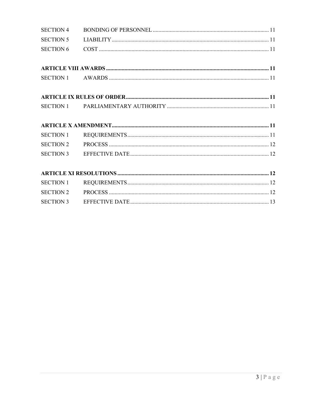| <b>SECTION 4</b> |  |
|------------------|--|
| <b>SECTION 5</b> |  |
| <b>SECTION 6</b> |  |
|                  |  |
|                  |  |
|                  |  |
|                  |  |
|                  |  |
|                  |  |
|                  |  |
|                  |  |
| <b>SECTION 1</b> |  |
| <b>SECTION 2</b> |  |
|                  |  |
|                  |  |
|                  |  |
| <b>SECTION 1</b> |  |
| <b>SECTION 2</b> |  |
| <b>SECTION 3</b> |  |
|                  |  |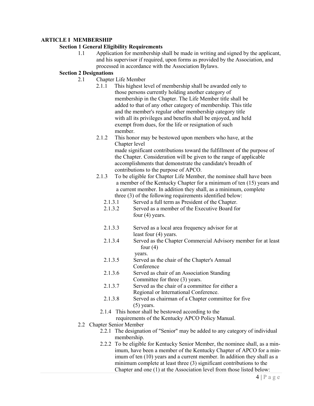# **ARTICLE I MEMBERSHIP**

# **Section 1 General Eligibility Requirements**

1.1 Application for membership shall be made in writing and signed by the applicant, and his supervisor if required, upon forms as provided by the Association, and processed in accordance with the Association Bylaws.

# **Section 2 Designations**

- 2.1 Chapter Life Member
	- 2.1.1 This highest level of membership shall be awarded only to those persons currently holding another category of membership in the Chapter. The Life Member title shall be added to that of any other category of membership. This title and the member's regular other membership category title with all its privileges and benefits shall be enjoyed, and held exempt from dues, for the life or resignation of such member.
	- 2.1.2 This honor may be bestowed upon members who have, at the Chapter level made significant contributions toward the fulfillment of the purpose of the Chapter. Consideration will be given to the range of applicable

 accomplishments that demonstrate the candidate's breadth of contributions to the purpose of APCO.

- 2.1.3 To be eligible for Chapter Life Member, the nominee shall have been a member of the Kentucky Chapter for a minimum of ten (15) years and a current member. In addition they shall, as a minimum, complete three (3) of the following requirements identified below:
	- 2.1.3.1 Served a full term as President of the Chapter.
	- 2.1.3.2 Served as a member of the Executive Board for four (4) years.
	- 2.1.3.3 Served as a local area frequency advisor for at least four (4) years.
	- 2.1.3.4 Served as the Chapter Commercial Advisory member for at least four  $(4)$ 
		- years.
	- 2.1.3.5 Served as the chair of the Chapter's Annual **Conference**
	- 2.1.3.6 Served as chair of an Association Standing Committee for three (3) years.
	- 2.1.3.7 Served as the chair of a committee for either a Regional or International Conference.
	- 2.1.3.8 Served as chairman of a Chapter committee for five (5) years.
	- 2.1.4 This honor shall be bestowed according to the

requirements of the Kentucky APCO Policy Manual.

- 2.2 Chapter Senior Member
	- 2.2.1 The designation of "Senior" may be added to any category of individual membership.
	- 2.2.2 To be eligible for Kentucky Senior Member, the nominee shall, as a minimum, have been a member of the Kentucky Chapter of APCO for a minimum of ten (10) years and a current member. In addition they shall as a minimum complete at least three (3) significant contributions to the Chapter and one (1) at the Association level from those listed below: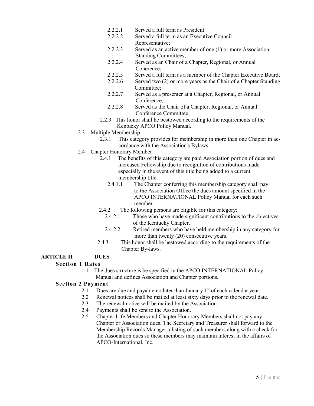- 2.2.2.1 Served a full term as President.
- 2.2.2.2 Served a full term as an Executive Council Representative;
- 2.2.2.3 Served as an active member of one (1) or more Association Standing Committees;<br>2.2.2.4 Served as an Chair of a
- Served as an Chair of a Chapter, Regional, or Annual Conerence;
- 2.2.2.5 Served a full term as a member of the Chapter Executive Board;
- 2.2.2.6 Served two (2) or more years as the Chair of a Chapter Standing Committee;
- 2.2.2.7 Served as a presenter at a Chapter, Regional, or Annual Conference;
- 2.2.2.8 Served as the Chair of a Chapter, Regional, or Annual Conference Committee;
- 2.2.3 This honor shall be bestowed according to the requirements of the Kentucky APCO Policy Manual.
- 2.3 Multiple Membership
	- 2.3.1 This category provides for membership in more than one Chapter in accordance with the Association's Bylaws.
- 2.4 Chapter Honorary Member
	- 2.4.1 The benefits of this category are paid Association portion of dues and increased Fellowship due to recognition of contributions made especially in the event of this title being added to a current membership title.
		- 2.4.1.1 The Chapter conferring this membership category shall pay to the Association Office the dues amount specified in the APCO INTERNATIONAL Policy Manual for each such member.
	- 2.4.2 The following persons are eligible for this category:
		- 2.4.2.1 Those who have made significant contributions to the objectives of the Kentucky Chapter.
		- 2.4.2.2 Retired members who have held membership in any category for more than twenty (20) consecutive years.
	- 2.4.3 This honor shall be bestowed according to the requirements of the Chapter By-laws.

# **ARTICLE II DUES**

# **Section 1 Rates**

1.1 The dues structure is be specified in the APCO INTERNATIONAL Policy Manual and defines Association and Chapter portions.

# **Section 2 Payment**

- 2.1 Dues are due and payable no later than January  $1<sup>st</sup>$  of each calendar year.
- 2.2 Renewal notices shall be mailed at least sixty days prior to the renewal date.
- 2.3 The renewal notice will be mailed by the Association.
- 2.4 Payments shall be sent to the Association.
- 2.5 Chapter Life Members and Chapter Honorary Members shall not pay any Chapter or Association dues. The Secretary and Treasurer shall forward to the Membership Records Manager a listing of such members along with a check for the Association dues so these members may maintain interest in the affairs of APCO-International, Inc.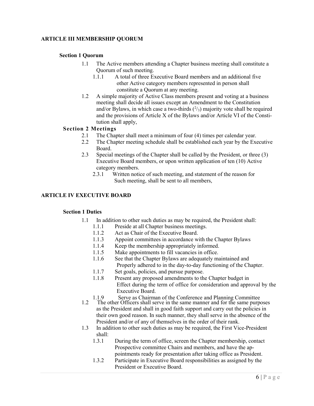# **ARTICLE III MEMBERSHIP QUORUM**

# **Section 1 Quorum**

- 1.1 The Active members attending a Chapter business meeting shall constitute a Quorum of such meeting.
	- 1.1.1 A total of three Executive Board members and an additional five other Active category members represented in person shall constitute a Quorum at any meeting.
- 1.2 A simple majority of Active Class members present and voting at a business meeting shall decide all issues except an Amendment to the Constitution and/or Bylaws, in which case a two-thirds  $(^{2}/_{3})$  majority vote shall be required and the provisions of Article X of the Bylaws and/or Article VI of the Constitution shall apply,

# **Section 2 Meetings**

- 2.1 The Chapter shall meet a minimum of four (4) times per calendar year.
- 2.2 The Chapter meeting schedule shall be established each year by the Executive Board.
- 2.3 Special meetings of the Chapter shall be called by the President, or three (3) Executive Board members, or upon written application of ten (10) Active category members.
	- 2.3.1 Written notice of such meeting, and statement of the reason for Such meeting, shall be sent to all members,

# **ARTICLE IV EXECUTIVE BOARD**

# **Section 1 Duties**

- 1.1 In addition to other such duties as may be required, the President shall:
	- 1.1.1 Preside at all Chapter business meetings.
	- 1.1.2 Act as Chair of the Executive Board.
	- 1.1.3 Appoint committees in accordance with the Chapter Bylaws
	- 1.1.4 Keep the membership appropriately informed.
	- 1.1.5 Make appointments to fill vacancies in office.
	- 1.1.6 See that the Chapter Bylaws are adequately maintained and Properly adhered to in the day-to-day functioning of the Chapter.
	- 1.1.7 Set goals, policies, and pursue purpose.
	- 1.1.8 Present any proposed amendments to the Chapter budget in Effect during the term of office for consideration and approval by the Executive Board.
	- 1.1.9 Serve as Chairman of the Conference and Planning Committee
- 1.2 The other Officers shall serve in the same manner and for the same purposes as the President and shall in good faith support and carry out the policies in their own good reason. In such manner, they shall serve in the absence of the President and/or of any of themselves in the order of their rank.
- 1.3 In addition to other such duties as may be required, the First Vice-President shall:
	- 1.3.1 During the term of office, screen the Chapter membership, contact Prospective committee Chairs and members, and have the appointments ready for presentation after taking office as President.
	- 1.3.2 Participate in Executive Board responsibilities as assigned by the President or Executive Board.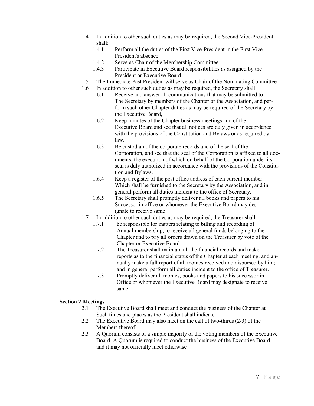- 1.4 In addition to other such duties as may be required, the Second Vice-President shall:
	- 1.4.1 Perform all the duties of the First Vice-President in the First Vice-President's absence.
	- 1.4.2 Serve as Chair of the Membership Committee.
	- 1.4.3 Participate in Executive Board responsibilities as assigned by the President or Executive Board.
- 1.5 The Immediate Past President will serve as Chair of the Nominating Committee
- 1.6 In addition to other such duties as may be required, the Secretary shall:
	- 1.6.1 Receive and answer all communications that may be submitted to The Secretary by members of the Chapter or the Association, and perform such other Chapter duties as may be required of the Secretary by the Executive Board,
	- 1.6.2 Keep minutes of the Chapter business meetings and of the Executive Board and see that all notices are duly given in accordance with the provisions of the Constitution and Bylaws or as required by law.
	- 1.6.3 Be custodian of the corporate records and of the seal of the Corporation, and see that the seal of the Corporation is affixed to all documents, the execution of which on behalf of the Corporation under its seal is duly authorized in accordance with the provisions of the Constitution and Bylaws.
	- 1.6.4 Keep a register of the post office address of each current member Which shall be furnished to the Secretary by the Association, and in general perform all duties incident to the office of Secretary.
	- 1.6.5 The Secretary shall promptly deliver all books and papers to his Successor in office or whomever the Executive Board may designate to receive same
- 1.7 In addition to other such duties as may be required, the Treasurer shall:
	- 1.7.1 be responsible for matters relating to billing and recording of Annual membership, to receive all general funds belonging to the Chapter and to pay all orders drawn on the Treasurer by vote of the Chapter or Executive Board.
	- 1.7.2 The Treasurer shall maintain all the financial records and make reports as to the financial status of the Chapter at each meeting, and annually make a full report of all monies received and disbursed by him; and in general perform all duties incident to the office of Treasurer.
	- 1.7.3 Promptly deliver all monies, books and papers to his successor in Office or whomever the Executive Board may designate to receive same

# **Section 2 Meetings**

- 2.1 The Executive Board shall meet and conduct the business of the Chapter at Such times and places as the President shall indicate.
- 2.2 The Executive Board may also meet on the call of two-thirds (2/3) of the Members thereof.
- 2.3 A Quorum consists of a simple majority of the voting members of the Executive Board. A Quorum is required to conduct the business of the Executive Board and it may not officially meet otherwise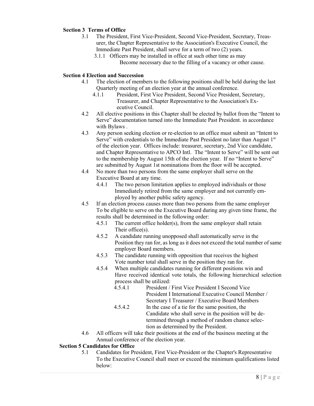# **Section 3 Terms of Office**

- 3.1 The President, First Vice-President, Second Vice-President, Secretary, Treasurer, the Chapter Representative to the Association's Executive Council, the Immediate Past President, shall serve for a term of two (2) years.
	- 3.1.1 Officers may be installed in office at such other time as may Become necessary due to the filling of a vacancy or other cause.

# **Section 4 Election and Succession**

- 4.1 The election of members to the following positions shall be held during the last Quarterly meeting of an election year at the annual conference.
	- 4.1.1 President, First Vice President, Second Vice President, Secretary, Treasurer, and Chapter Representative to the Association's Executive Council.
- 4.2 All elective positions in this Chapter shall be elected by ballot from the "Intent to Serve" documentation turned into the Immediate Past President. in accordance with Bylaws .
- 4.3 Any person seeking election or re-election to an office must submit an "Intent to Serve" with credentials to the Immediate Past President no later than August 1st of the election year. Offices include: treasurer, secretary, 2nd Vice candidate, and Chapter Representative to APCO Intl. The "Intent to Serve" will be sent out to the membership by August 15th of the election year. If no "Intent to Serve" are submitted by August 1st nominations from the floor will be accepted.
- 4.4 No more than two persons from the same employer shall serve on the Executive Board at any time.
	- 4.4.1 The two person limitation applies to employed individuals or those Immediately retired from the same employer and not currently employed by another public safety agency.
- 4.5 If an election process causes more than two persons from the same employer To be eligible to serve on the Executive Board during any given time frame, the results shall be determined in the following order:
	- 4.5.1 The current office holder(s), from the same employer shall retain Their office(s).
	- 4.5.2 A candidate running unopposed shall automatically serve in the Position they ran for, as long as it does not exceed the total number of same employer Board members.
	- 4.5.3 The candidate running with opposition that receives the highest Vote number total shall serve in the position they ran for.
	- 4.5.4 When multiple candidates running for different positions win and Have received identical vote totals, the following hierarchical selection process shall be utilized:
		- 4.5.4.1 President / First Vice President I Second Vice President I International Executive Council Member / Secretary I Treasurer / Executive Board Members
		- 4.5.4.2 In the case of a tie for the same position, the Candidate who shall serve in the position will be determined through a method of random chance selection as determined by the President.
- 4.6 All officers will take their positions at the end of the business meeting at the Annual conference of the election year.

# **Section 5 Candidates for Office**

5.1 Candidates for President, First Vice-President or the Chapter's Representative To the Executive Council shall meet or exceed the minimum qualifications listed below: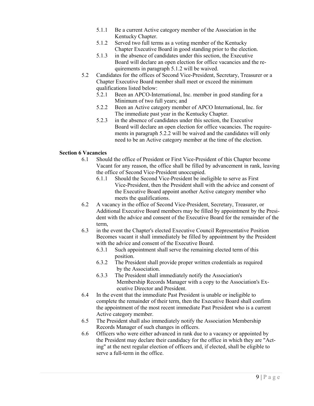- 5.1.1 Be a current Active category member of the Association in the Kentucky Chapter.
- 5.1.2 Served two full terms as a voting member of the Kentucky Chapter Executive Board in good standing prior to the election.
- 5.1.3 in the absence of candidates under this section, the Executive Board will declare an open election for office vacancies and the requirements in paragraph 5.1.2 will be waived.
- 5.2 Candidates for the offices of Second Vice-President, Secretary, Treasurer or a Chapter Executive Board member shall meet or exceed the minimum qualifications listed below:
	- 5.2.1 Been an APCO-International, Inc. member in good standing for a Minimum of two full years; and
	- 5.2.2 Been an Active category member of APCO International, Inc. for The immediate past year in the Kentucky Chapter.
	- 5.2.3 in the absence of candidates under this section, the Executive Board will declare an open election for office vacancies. The requirements in paragraph 5.2.2 will be waived and the candidates will only need to be an Active category member at the time of the election.

# **Section 6 Vacancies**

- 6.1 Should the office of President or First Vice-President of this Chapter become Vacant for any reason, the office shall be filled by advancement in rank, leaving the office of Second Vice-President unoccupied.
	- 6.1.1 Should the Second Vice-President be ineligible to serve as First Vice-President, then the President shall with the advice and consent of the Executive Board appoint another Active category member who meets the qualifications.
- 6.2 A vacancy in the office of Second Vice-President, Secretary, Treasurer, or Additional Executive Board members may be filled by appointment by the President with the advice and consent of the Executive Board for the remainder of the term,
- 6.3 in the event the Chapter's elected Executive Council Representative Position Becomes vacant it shall immediately be filled by appointment by the President with the advice and consent of the Executive Board.
	- 6.3.1 Such appointment shall serve the remaining elected term of this position.
	- 6.3.2 The President shall provide proper written credentials as required by the Association.
	- 6.3.3 The President shall immediately notify the Association's Membership Records Manager with a copy to the Association's Executive Director and President.
- 6.4 In the event that the immediate Past President is unable or ineligible to complete the remainder of their term, then the Executive Board shall confirm the appointment of the most recent immediate Past President who is a current Active category member.
- 6.5 The President shall also immediately notify the Association Membership Records Manager of such changes in officers.
- 6.6 Officers who were either advanced in rank due to a vacancy or appointed by the President may declare their candidacy for the office in which they are "Acting" at the next regular election of officers and, if elected, shall be eligible to serve a full-term in the office.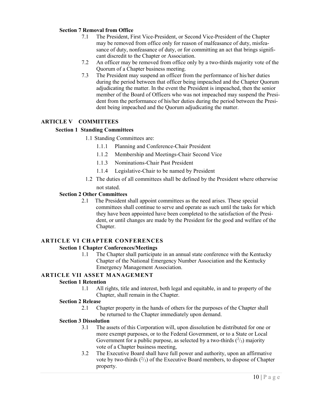# **Section 7 Removal from Office**

- 7.1 The President, First Vice-President, or Second Vice-President of the Chapter may be removed from office only for reason of malfeasance of duty, misfeasance of duty, nonfeasance of duty, or for committing an act that brings significant discredit to the Chapter or Association.
- 7.2 An officer may be removed from office only by a two-thirds majority vote of the Quorum of a Chapter business meeting.
- 7.3 The President may suspend an officer from the performance of his/her duties during the period between that officer being impeached and the Chapter Quorum adjudicating the matter. In the event the President is impeached, then the senior member of the Board of Officers who was not impeached may suspend the President from the performance of his/her duties during the period between the President being impeached and the Quorum adjudicating the matter.

# **ARTICLE V COMMITTEES**

#### **Section 1 Standing Committees**

- 1.1 Standing Committees are:
	- 1.1.1 Planning and Conference-Chair President
	- 1.1.2 Membership and Meetings-Chair Second Vice
	- 1.1.3 Nominations-Chair Past President
	- 1.1.4 Legislative-Chair to be named by President
- 1.2 The duties of all committees shall be defined by the President where otherwise not stated.

#### **Section 2 Other Committees**

2.1 The President shall appoint committees as the need arises. These special committees shall continue to serve and operate as such until the tasks for which they have been appointed have been completed to the satisfaction of the President, or until changes are made by the President for the good and welfare of the Chapter.

# **ARTICLE VI CHAPTER CONFERENCES**

#### **Section 1 Chapter Conferences/Meetings**

1.1 The Chapter shall participate in an annual state conference with the Kentucky Chapter of the National Emergency Number Association and the Kentucky Emergency Management Association.

# **ARTICLE VII ASSET MANAGEMENT**

#### **Section 1 Retention**

1.1 All rights, title and interest, both legal and equitable, in and to property of the Chapter, shall remain in the Chapter.

#### **Section 2 Release**

2.1 Chapter property in the hands of others for the purposes of the Chapter shall be returned to the Chapter immediately upon demand.

#### **Section 3 Dissolution**

- 3.1 The assets of this Corporation will, upon dissolution be distributed for one or more exempt purposes, or to the Federal Government, or to a State or Local Government for a public purpose, as selected by a two-thirds  $(^{2}/_{3})$  majority vote of a Chapter business meeting,
- 3.2 The Executive Board shall have full power and authority, upon an affirmative vote by two-thirds  $(^{2}/_{3})$  of the Executive Board members, to dispose of Chapter property.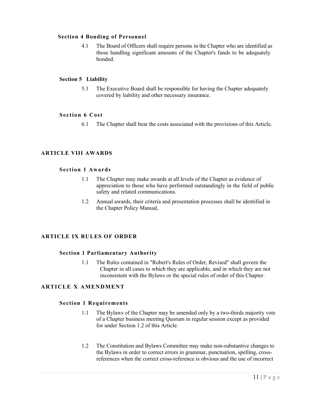# **Section 4 Bonding of Personnel**

4.1 The Board of Officers shall require persons in the Chapter who are identified as those handling significant amounts of the Chapter's funds to be adequately bonded.

# **Section 5 Liability**

5.1 The Executive Board shall be responsible for having the Chapter adequately covered by liability and other necessary insurance.

# **Section 6 Cost**

6.1 The Chapter shall bear the costs associated with the provisions of this Article.

# **ARTICLE VIII AWARDS**

# **Section 1 Awards**

- 1.1 The Chapter may make awards at all levels of the Chapter as evidence of appreciation to those who have performed outstandingly in the field of public safety and related communications.
- 1.2 Annual awards, their criteria and presentation processes shall be identified in the Chapter Policy Manual,

# **ARTICLE IX RULES OF ORDER**

# **Section 1 Parliamentary Authority**

1.1 The Rules contained in "Robert's Rules of Order, Revised" shall govern the Chapter in all cases to which they are applicable, and in which they are not inconsistent with the Bylaws or the special rules of order of this Chapter.

# **ARTI CLE X AMEN DMENT**

# **Section 1 Requirements**

- 1.1 The Bylaws of the Chapter may be amended only by a two-thirds majority vote of a Chapter business meeting Quorum in regular session except as provided for under Section 1.2 of this Article.
- 1.2 The Constitution and Bylaws Committee may make non-substantive changes to the Bylaws in order to correct errors in grammar, punctuation, spelling, crossreferences when the correct cross-reference is obvious and the use of incorrect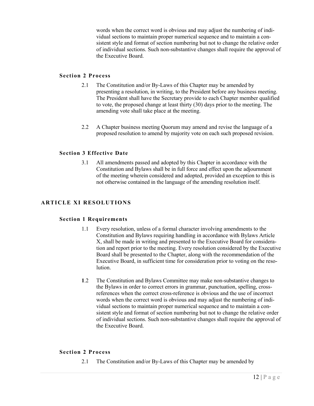words when the correct word is obvious and may adjust the numbering of individual sections to maintain proper numerical sequence and to maintain a consistent style and format of section numbering but not to change the relative order of individual sections. Such non-substantive changes shall require the approval of the Executive Board.

# **Section 2 Process**

- 2.1 The Constitution and/or By-Laws of this Chapter may be amended by presenting a resolution, in writing, to the President before any business meeting. The President shall have the Secretary provide to each Chapter member qualified to vote, the proposed change at least thirty (30) days prior to the meeting. The amending vote shall take place at the meeting.
- 2.2 A Chapter business meeting Quorum may amend and revise the language of a proposed resolution to amend by majority vote on each such proposed revision.

# **Section 3 Effective Date**

3.1 All amendments passed and adopted by this Chapter in accordance with the Constitution and Bylaws shall be in full force and effect upon the adjournment of the meeting wherein considered and adopted, provided an exception to this is not otherwise contained in the language of the amending resolution itself.

# **ARTICLE XI RESOLUTIONS**

# **Section 1 Requirements**

- 1.1 Every resolution, unless of a formal character involving amendments to the Constitution and Bylaws requiring handling in accordance with Bylaws Article X, shall be made in writing and presented to the Executive Board for consideration and report prior to the meeting. Every resolution considered by the Executive Board shall be presented to the Chapter, along with the recommendation of the Executive Board, in sufficient time for consideration prior to voting on the resolution.
- **1**.2 The Constitution and Bylaws Committee may make non-substantive changes to the Bylaws in order to correct errors in grammar, punctuation, spelling, crossreferences when the correct cross-reference is obvious and the use of incorrect words when the correct word is obvious and may adjust the numbering of individual sections to maintain proper numerical sequence and to maintain a consistent style and format of section numbering but not to change the relative order of individual sections. Such non-substantive changes shall require the approval of the Executive Board.

# **Section 2 Process**

2.1 The Constitution and/or By-Laws of this Chapter may be amended by